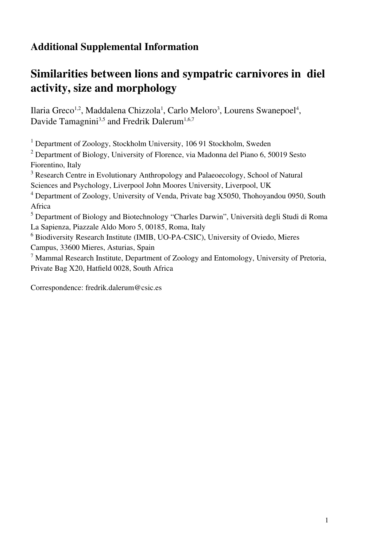## **Additional Supplemental Information**

## **Similarities between lions and sympatric carnivores in diel activity, size and morphology**

Ilaria Greco<sup>1,2</sup>, Maddalena Chizzola<sup>1</sup>, Carlo Meloro<sup>3</sup>, Lourens Swanepoel<sup>4</sup>, Davide Tamagnini<sup>3,5</sup> and Fredrik Dalerum<sup>1,6,7</sup>

<sup>1</sup> Department of Zoology, Stockholm University, 106 91 Stockholm, Sweden

<sup>2</sup> Department of Biology, University of Florence, via Madonna del Piano 6, 50019 Sesto Fiorentino, Italy

<sup>3</sup> Research Centre in Evolutionary Anthropology and Palaeoecology, School of Natural Sciences and Psychology, Liverpool John Moores University, Liverpool, UK

<sup>4</sup> Department of Zoology, University of Venda, Private bag X5050, Thohoyandou 0950, South Africa

<sup>5</sup> Department of Biology and Biotechnology "Charles Darwin", Università degli Studi di Roma La Sapienza, Piazzale Aldo Moro 5, 00185, Roma, Italy

<sup>6</sup> Biodiversity Research Institute (IMIB, UO-PA-CSIC), University of Oviedo, Mieres Campus, 33600 Mieres, Asturias, Spain

<sup>7</sup> Mammal Research Institute, Department of Zoology and Entomology, University of Pretoria, Private Bag X20, Hatfield 0028, South Africa

Correspondence: fredrik.dalerum@csic.es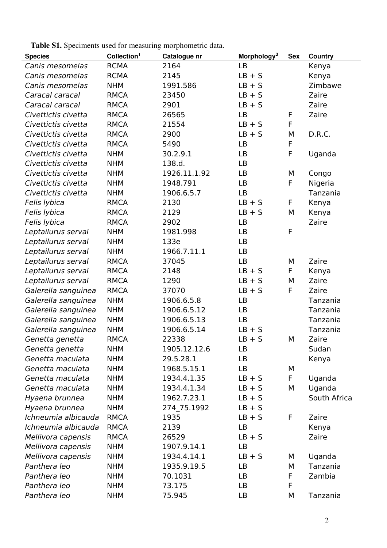**Table S1.** Speciments used for measuring morphometric data.

| <b>Species</b>      | Collection <sup>1</sup> | Catalogue nr | Morphology <sup>2</sup> | <b>Sex</b> | <b>Country</b> |
|---------------------|-------------------------|--------------|-------------------------|------------|----------------|
| Canis mesomelas     | <b>RCMA</b>             | 2164         | LB                      |            | Kenya          |
| Canis mesomelas     | <b>RCMA</b>             | 2145         | $LB + S$                |            | Kenya          |
| Canis mesomelas     | <b>NHM</b>              | 1991.586     | $LB + S$                |            | Zimbawe        |
| Caracal caracal     | <b>RMCA</b>             | 23450        | $LB + S$                |            | Zaire          |
| Caracal caracal     | <b>RMCA</b>             | 2901         | $LB + S$                |            | Zaire          |
| Civettictis civetta | <b>RMCA</b>             | 26565        | LB                      | F          | Zaire          |
| Civettictis civetta | <b>RMCA</b>             | 21554        | $LB + S$                | F          |                |
| Civettictis civetta | <b>RMCA</b>             | 2900         | $LB + S$                | М          | D.R.C.         |
| Civettictis civetta | <b>RMCA</b>             | 5490         | LB                      | F          |                |
| Civettictis civetta | <b>NHM</b>              | 30.2.9.1     | <b>LB</b>               | F          | Uganda         |
| Civettictis civetta | <b>NHM</b>              | 138.d.       | LB                      |            |                |
| Civettictis civetta | <b>NHM</b>              | 1926.11.1.92 | LB                      | М          | Congo          |
| Civettictis civetta | <b>NHM</b>              | 1948.791     | LB                      | F          | Nigeria        |
| Civettictis civetta | <b>NHM</b>              | 1906.6.5.7   | <b>LB</b>               |            | Tanzania       |
| Felis lybica        | <b>RMCA</b>             | 2130         | $LB + S$                | F          | Kenya          |
| Felis lybica        | <b>RMCA</b>             | 2129         | $LB + S$                | M          | Kenya          |
| Felis lybica        | <b>RMCA</b>             | 2902         | LB                      |            | Zaire          |
| Leptailurus serval  | <b>NHM</b>              | 1981.998     | LB                      | F          |                |
| Leptailurus serval  | <b>NHM</b>              | 133e         | LB                      |            |                |
| Leptailurus serval  | <b>NHM</b>              | 1966.7.11.1  | LB                      |            |                |
| Leptailurus serval  | <b>RMCA</b>             | 37045        | LB                      | М          | Zaire          |
| Leptailurus serval  | <b>RMCA</b>             | 2148         | $LB + S$                | F          | Kenya          |
| Leptailurus serval  | <b>RMCA</b>             | 1290         | $LB + S$                | М          | Zaire          |
| Galerella sanguinea | <b>RMCA</b>             | 37070        | $LB + S$                | F          | Zaire          |
| Galerella sanguinea | <b>NHM</b>              | 1906.6.5.8   | LB                      |            | Tanzania       |
| Galerella sanguinea | <b>NHM</b>              | 1906.6.5.12  | LB                      |            | Tanzania       |
| Galerella sanguinea | <b>NHM</b>              | 1906.6.5.13  | LB                      |            | Tanzania       |
| Galerella sanguinea | <b>NHM</b>              | 1906.6.5.14  | $LB + S$                |            | Tanzania       |
| Genetta genetta     | <b>RMCA</b>             | 22338        | $LB + S$                | М          | Zaire          |
| Genetta genetta     | <b>NHM</b>              | 1905.12.12.6 | LB                      |            | Sudan          |
| Genetta maculata    | <b>NHM</b>              | 29.5.28.1    | LB                      |            | Kenya          |
| Genetta maculata    | <b>NHM</b>              | 1968.5.15.1  | LB                      | М          |                |
| Genetta maculata    | <b>NHM</b>              | 1934.4.1.35  | $LB + S$                | F          | Uganda         |
| Genetta maculata    | <b>NHM</b>              | 1934.4.1.34  | $LB + S$                | М          | Uganda         |
| Hyaena brunnea      | <b>NHM</b>              | 1962.7.23.1  | $LB + S$                |            | South Africa   |
| Hyaena brunnea      | <b>NHM</b>              | 274 75.1992  | $LB + S$                |            |                |
| Ichneumia albicauda | <b>RMCA</b>             | 1935         | $LB + S$                | F          | Zaire          |
| Ichneumia albicauda | <b>RMCA</b>             | 2139         | LB                      |            | Kenya          |
| Mellivora capensis  | <b>RMCA</b>             | 26529        | $LB + S$                |            | Zaire          |
| Mellivora capensis  | <b>NHM</b>              | 1907.9.14.1  | LB                      |            |                |
| Mellivora capensis  | <b>NHM</b>              | 1934.4.14.1  | $LB + S$                | М          | Uganda         |
| Panthera leo        | <b>NHM</b>              | 1935.9.19.5  | LB                      | М          | Tanzania       |
| Panthera leo        | <b>NHM</b>              | 70.1031      | LB                      | F          | Zambia         |
| Panthera leo        | <b>NHM</b>              | 73.175       | LB                      | F          |                |
| Panthera leo        | <b>NHM</b>              | 75.945       | LB                      | М          | Tanzania       |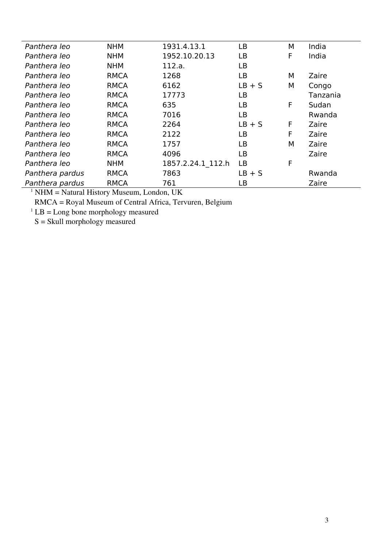| Panthera leo    | <b>NHM</b>  | 1931.4.13.1       | LB        | M | India    |
|-----------------|-------------|-------------------|-----------|---|----------|
| Panthera leo    | <b>NHM</b>  | 1952.10.20.13     | LB        | F | India    |
| Panthera leo    | <b>NHM</b>  | 112.a.            | LB        |   |          |
| Panthera leo    | <b>RMCA</b> | 1268              | LВ        | М | Zaire    |
| Panthera leo    | <b>RMCA</b> | 6162              | $LB + S$  | М | Congo    |
| Panthera leo    | <b>RMCA</b> | 17773             | LВ        |   | Tanzania |
| Panthera leo    | <b>RMCA</b> | 635               | LВ        | F | Sudan    |
| Panthera leo    | <b>RMCA</b> | 7016              | LB        |   | Rwanda   |
| Panthera leo    | <b>RMCA</b> | 2264              | $LB + S$  | F | Zaire    |
| Panthera leo    | <b>RMCA</b> | 2122              | LВ        | F | Zaire    |
| Panthera leo    | <b>RMCA</b> | 1757              | LВ        | М | Zaire    |
| Panthera leo    | <b>RMCA</b> | 4096              | LВ        |   | Zaire    |
| Panthera leo    | <b>NHM</b>  | 1857.2.24.1 112.h | <b>LB</b> | F |          |
| Panthera pardus | <b>RMCA</b> | 7863              | $LB + S$  |   | Rwanda   |
| Panthera pardus | <b>RMCA</b> | 761               | LВ        |   | Zaire    |
|                 |             |                   |           |   |          |

 $<sup>1</sup>$  NHM = Natural History Museum, London, UK</sup>

RMCA = Royal Museum of Central Africa, Tervuren, Belgium

 ${}^{1}$  LB = Long bone morphology measured

S = Skull morphology measured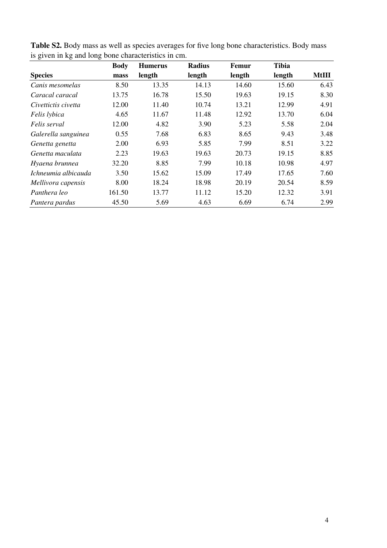| $\check{ }$         | <b>Body</b> | <b>Humerus</b> | Radius | Femur  | <b>Tibia</b> |              |
|---------------------|-------------|----------------|--------|--------|--------------|--------------|
| <b>Species</b>      | mass        | length         | length | length | length       | <b>MtIII</b> |
| Canis mesomelas     | 8.50        | 13.35          | 14.13  | 14.60  | 15.60        | 6.43         |
| Caracal caracal     | 13.75       | 16.78          | 15.50  | 19.63  | 19.15        | 8.30         |
| Civettictis civetta | 12.00       | 11.40          | 10.74  | 13.21  | 12.99        | 4.91         |
| Felis lybica        | 4.65        | 11.67          | 11.48  | 12.92  | 13.70        | 6.04         |
| Felis serval        | 12.00       | 4.82           | 3.90   | 5.23   | 5.58         | 2.04         |
| Galerella sanguinea | 0.55        | 7.68           | 6.83   | 8.65   | 9.43         | 3.48         |
| Genetta genetta     | 2.00        | 6.93           | 5.85   | 7.99   | 8.51         | 3.22         |
| Genetta maculata    | 2.23        | 19.63          | 19.63  | 20.73  | 19.15        | 8.85         |
| Hyaena brunnea      | 32.20       | 8.85           | 7.99   | 10.18  | 10.98        | 4.97         |
| Ichneumia albicauda | 3.50        | 15.62          | 15.09  | 17.49  | 17.65        | 7.60         |
| Mellivora capensis  | 8.00        | 18.24          | 18.98  | 20.19  | 20.54        | 8.59         |
| Panthera leo        | 161.50      | 13.77          | 11.12  | 15.20  | 12.32        | 3.91         |
| Pantera pardus      | 45.50       | 5.69           | 4.63   | 6.69   | 6.74         | 2.99         |

**Table S2.** Body mass as well as species averages for five long bone characteristics. Body mass is given in kg and long bone characteristics in cm.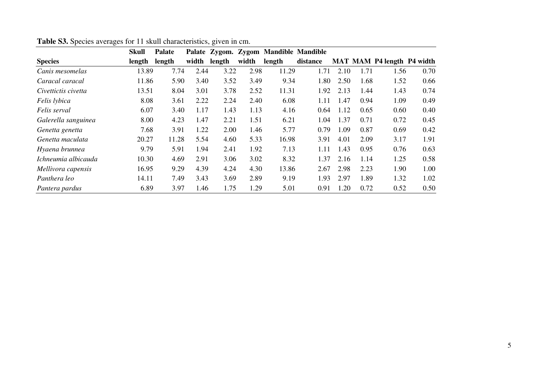|                     | <b>Skull</b> | <b>Palate</b> |       |        |       |        | Palate Zygom. Zygom Mandible Mandible |      |      |                                   |      |
|---------------------|--------------|---------------|-------|--------|-------|--------|---------------------------------------|------|------|-----------------------------------|------|
| <b>Species</b>      | length       | length        | width | length | width | length | distance                              |      |      | <b>MAT MAM P4 length P4 width</b> |      |
| Canis mesomelas     | 13.89        | 7.74          | 2.44  | 3.22   | 2.98  | 11.29  | 1.71                                  | 2.10 | 1.71 | 1.56                              | 0.70 |
| Caracal caracal     | 11.86        | 5.90          | 3.40  | 3.52   | 3.49  | 9.34   | 1.80                                  | 2.50 | 1.68 | 1.52                              | 0.66 |
| Civettictis civetta | 13.51        | 8.04          | 3.01  | 3.78   | 2.52  | 11.31  | 1.92                                  | 2.13 | 1.44 | 1.43                              | 0.74 |
| Felis lybica        | 8.08         | 3.61          | 2.22  | 2.24   | 2.40  | 6.08   | 1.11                                  | 1.47 | 0.94 | 1.09                              | 0.49 |
| Felis serval        | 6.07         | 3.40          | 1.17  | 1.43   | 1.13  | 4.16   | 0.64                                  | 1.12 | 0.65 | 0.60                              | 0.40 |
| Galerella sanguinea | 8.00         | 4.23          | 1.47  | 2.21   | 1.51  | 6.21   | 1.04                                  | 1.37 | 0.71 | 0.72                              | 0.45 |
| Genetta genetta     | 7.68         | 3.91          | 1.22  | 2.00   | 1.46  | 5.77   | 0.79                                  | 1.09 | 0.87 | 0.69                              | 0.42 |
| Genetta maculata    | 20.27        | 11.28         | 5.54  | 4.60   | 5.33  | 16.98  | 3.91                                  | 4.01 | 2.09 | 3.17                              | 1.91 |
| Hyaena brunnea      | 9.79         | 5.91          | 1.94  | 2.41   | 1.92  | 7.13   | 1.11                                  | 1.43 | 0.95 | 0.76                              | 0.63 |
| Ichneumia albicauda | 10.30        | 4.69          | 2.91  | 3.06   | 3.02  | 8.32   | 1.37                                  | 2.16 | 1.14 | 1.25                              | 0.58 |
| Mellivora capensis  | 16.95        | 9.29          | 4.39  | 4.24   | 4.30  | 13.86  | 2.67                                  | 2.98 | 2.23 | 1.90                              | 1.00 |
| Panthera leo        | 14.11        | 7.49          | 3.43  | 3.69   | 2.89  | 9.19   | 1.93                                  | 2.97 | 1.89 | 1.32                              | 1.02 |
| Pantera pardus      | 6.89         | 3.97          | 1.46  | 1.75   | 1.29  | 5.01   | 0.91                                  | 1.20 | 0.72 | 0.52                              | 0.50 |

## **Table S3.** Species averages for 11 skull characteristics, given in cm.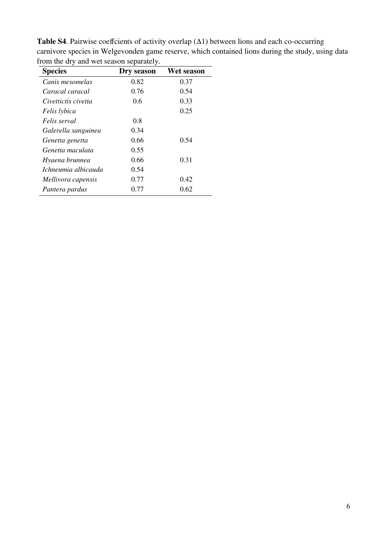| <b>Species</b>      | Dry season | Wet season |
|---------------------|------------|------------|
| Canis mesomelas     | 0.82       | 0.37       |
| Caracal caracal     | 0.76       | 0.54       |
| Civettictis civetta | 0.6        | 0.33       |
| Felis lybica        |            | 0.25       |
| Felis serval        | 0.8        |            |
| Galerella sanguinea | 0.34       |            |
| Genetta genetta     | 0.66       | 0.54       |
| Genetta maculata    | 0.55       |            |
| Hyaena brunnea      | 0.66       | 0.31       |
| Ichneumia albicauda | 0.54       |            |
| Mellivora capensis  | 0.77       | 0.42       |
| Pantera pardus      | 0.77       | 0.62       |

**Table S4**. Pairwise coeffcients of activity overlap (∆1) between lions and each co-occurring carnivore species in Welgevonden game reserve, which contained lions during the study, using data from the dry and wet season separately.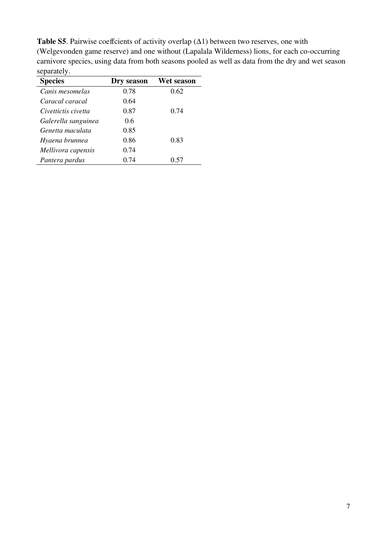**Table S5**. Pairwise coeffcients of activity overlap  $(\Delta 1)$  between two reserves, one with (Welgevonden game reserve) and one without (Lapalala Wilderness) lions, for each co-occurring carnivore species, using data from both seasons pooled as well as data from the dry and wet season separately.  $\overline{\phantom{a}}$ 

| <b>Species</b>      | Dry season | Wet season |
|---------------------|------------|------------|
| Canis mesomelas     | 0.78       | 0.62       |
| Caracal caracal     | 0.64       |            |
| Civettictis civetta | 0.87       | 0.74       |
| Galerella sanguinea | 0.6        |            |
| Genetta maculata    | 0.85       |            |
| Hyaena brunnea      | 0.86       | 0.83       |
| Mellivora capensis  | 0.74       |            |
| Pantera pardus      | 0.74       | 0.57       |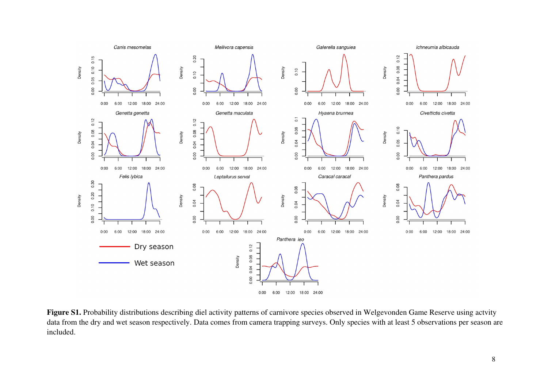

Figure S1. Probability distributions describing diel activity patterns of carnivore species observed in Welgevonden Game Reserve using actvity data from the dry and wet season respectively. Data comes from camera trapping surveys. Only species with at least 5 observations per season are included.